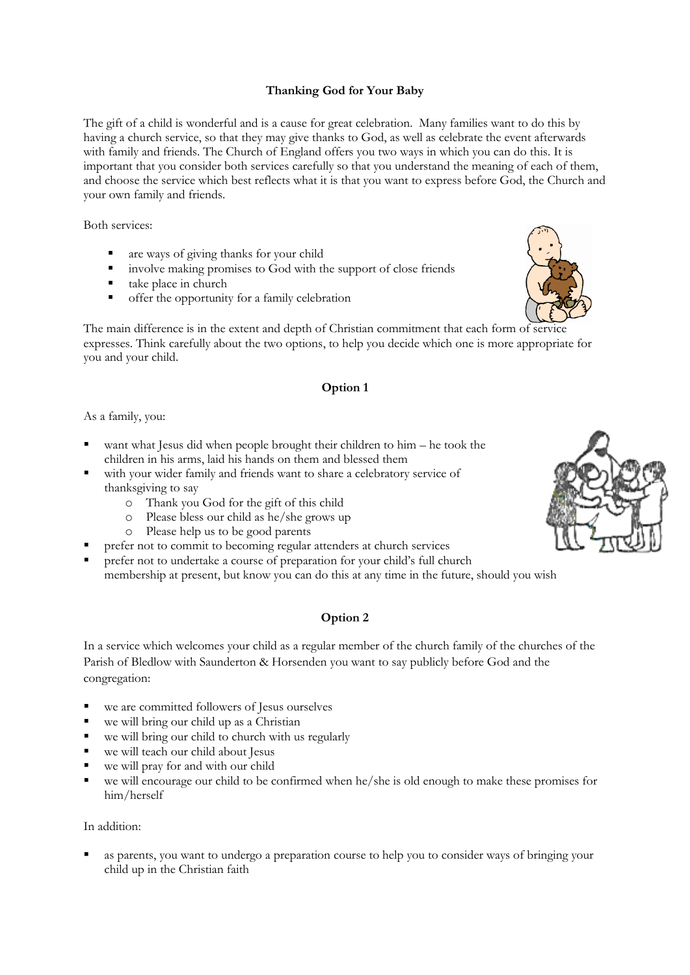# **Thanking God for Your Baby**

The gift of a child is wonderful and is a cause for great celebration. Many families want to do this by having a church service, so that they may give thanks to God, as well as celebrate the event afterwards with family and friends. The Church of England offers you two ways in which you can do this. It is important that you consider both services carefully so that you understand the meaning of each of them, and choose the service which best reflects what it is that you want to express before God, the Church and your own family and friends.

Both services:

- are ways of giving thanks for your child
- involve making promises to God with the support of close friends
- take place in church
- offer the opportunity for a family celebration

The main difference is in the extent and depth of Christian commitment that each form of service expresses. Think carefully about the two options, to help you decide which one is more appropriate for you and your child.

### **Option 1**

As a family, you:

- want what Jesus did when people brought their children to him he took the children in his arms, laid his hands on them and blessed them
- with your wider family and friends want to share a celebratory service of thanksgiving to say
	- o Thank you God for the gift of this child
	- o Please bless our child as he/she grows up
	- o Please help us to be good parents
- prefer not to commit to becoming regular attenders at church services
- prefer not to undertake a course of preparation for your child's full church membership at present, but know you can do this at any time in the future, should you wish

# **Option 2**

In a service which welcomes your child as a regular member of the church family of the churches of the Parish of Bledlow with Saunderton & Horsenden you want to say publicly before God and the congregation:

- we are committed followers of Jesus ourselves
- we will bring our child up as a Christian
- we will bring our child to church with us regularly
- we will teach our child about Jesus
- we will pray for and with our child
- we will encourage our child to be confirmed when he/she is old enough to make these promises for him/herself

#### In addition:

 as parents, you want to undergo a preparation course to help you to consider ways of bringing your child up in the Christian faith